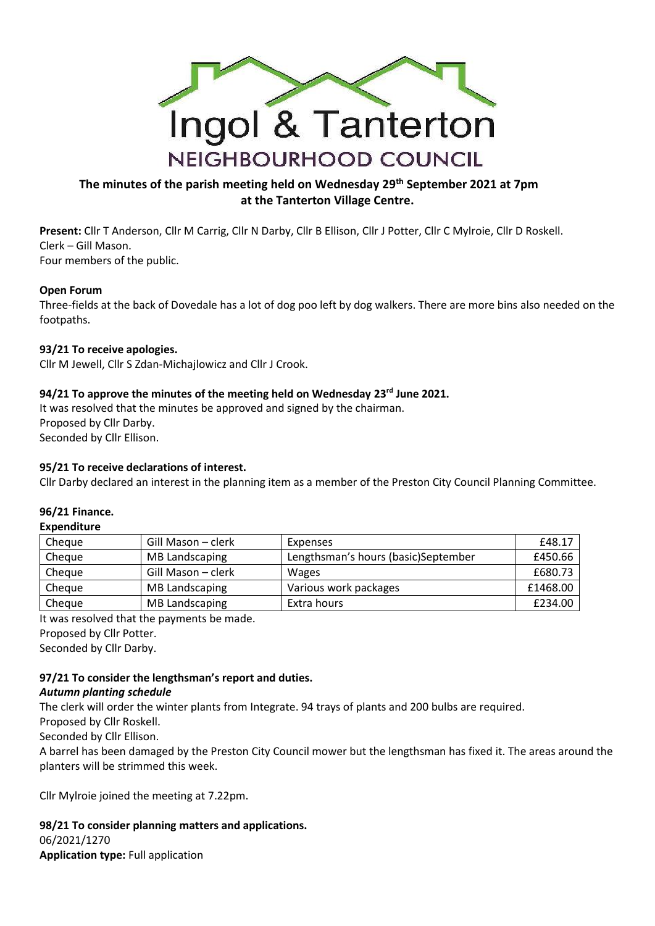

## **The minutes of the parish meeting held on Wednesday 29th September 2021 at 7pm at the Tanterton Village Centre.**

**Present:** Cllr T Anderson, Cllr M Carrig, Cllr N Darby, Cllr B Ellison, Cllr J Potter, Cllr C Mylroie, Cllr D Roskell. Clerk – Gill Mason. Four members of the public.

#### **Open Forum**

Three-fields at the back of Dovedale has a lot of dog poo left by dog walkers. There are more bins also needed on the footpaths.

#### **93/21 To receive apologies.**

Cllr M Jewell, Cllr S Zdan-Michajlowicz and Cllr J Crook.

## **94/21 To approve the minutes of the meeting held on Wednesday 23rd June 2021.**

It was resolved that the minutes be approved and signed by the chairman. Proposed by Cllr Darby. Seconded by Cllr Ellison.

## **95/21 To receive declarations of interest.**

Cllr Darby declared an interest in the planning item as a member of the Preston City Council Planning Committee.

#### **96/21 Finance.**

#### **Expenditure**

| Cheque | Gill Mason – clerk    | Expenses                            | £48.17   |
|--------|-----------------------|-------------------------------------|----------|
| Cheaue | MB Landscaping        | Lengthsman's hours (basic)September | £450.66  |
| Cheaue | Gill Mason – clerk    | <b>Wages</b>                        | £680.73  |
| Cheque | <b>MB Landscaping</b> | Various work packages               | £1468.00 |
| Cheque | <b>MB Landscaping</b> | Extra hours                         | £234.00  |

It was resolved that the payments be made.

Proposed by Cllr Potter.

Seconded by Cllr Darby.

# **97/21 To consider the lengthsman's report and duties.**

#### *Autumn planting schedule*

The clerk will order the winter plants from Integrate. 94 trays of plants and 200 bulbs are required.

Proposed by Cllr Roskell.

Seconded by Cllr Ellison.

A barrel has been damaged by the Preston City Council mower but the lengthsman has fixed it. The areas around the planters will be strimmed this week.

Cllr Mylroie joined the meeting at 7.22pm.

**98/21 To consider planning matters and applications.** 06/2021/1270 **Application type:** Full application